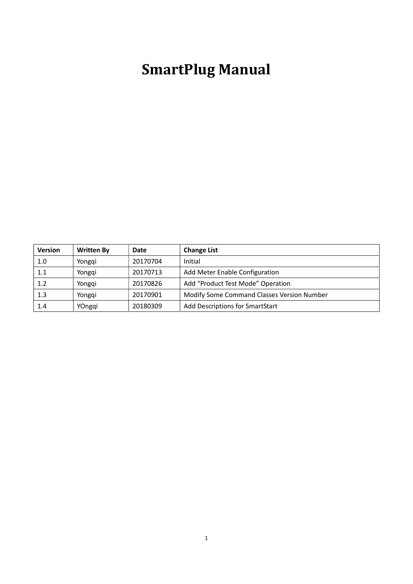# SmartPlug Manual

| <b>Version</b> | <b>Written By</b> | Date     | <b>Change List</b>                         |
|----------------|-------------------|----------|--------------------------------------------|
| 1.0            | Yongqi            | 20170704 | Initial                                    |
| 1.1            | Yongqi            | 20170713 | Add Meter Enable Configuration             |
| 1.2            | Yongqi            | 20170826 | Add "Product Test Mode" Operation          |
| $1.3\,$        | Yonggi            | 20170901 | Modify Some Command Classes Version Number |
| 1.4            | YOngqi            | 20180309 | Add Descriptions for SmartStart            |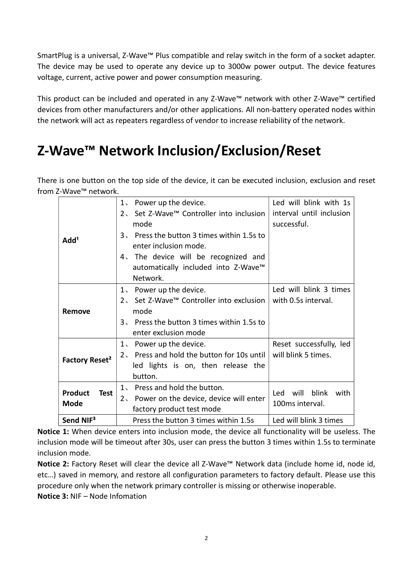SmartPlug is a universal, Z-Wave™ Plus compatible and relay switch in the form of a socket adapter. The device may be used to operate any device up to 3000w power output. The device features voltage, current, active power and power consumption measuring.

This product can be included and operated in any Z-Wave™ network with other Z-Wave™ certified devices from other manufacturers and/or other applications. All non-battery operated nodes within the network will act as repeaters regardless of vendor to increase reliability of the network.

# Z-Wave™ Network Inclusion/Exclusion/Reset

There is one button on the top side of the device, it can be executed inclusion, exclusion and reset from Z-Wave™ network.

| Add <sup>1</sup>                             | 1. Power up the device.<br>Set Z-Wave™ Controller into inclusion<br>2 <sup>2</sup><br>mode<br>3. Press the button 3 times within 1.5s to<br>enter inclusion mode.<br>4. The device will be recognized and<br>automatically included into Z-Wave™<br>Network. | Led will blink with 1s<br>interval until inclusion<br>successful. |
|----------------------------------------------|--------------------------------------------------------------------------------------------------------------------------------------------------------------------------------------------------------------------------------------------------------------|-------------------------------------------------------------------|
| Remove                                       | 1. Power up the device.<br>2, Set Z-Wave™ Controller into exclusion<br>mode<br>3. Press the button 3 times within 1.5s to<br>enter exclusion mode                                                                                                            | Led will blink 3 times<br>with 0.5s interval.                     |
| Factory Reset <sup>2</sup>                   | 1. Power up the device.<br>2. Press and hold the button for 10s until<br>led lights is on, then release the<br>button.                                                                                                                                       | Reset successfully, led<br>will blink 5 times.                    |
| <b>Product</b><br><b>Test</b><br><b>Mode</b> | 1. Press and hold the button.<br>2. Power on the device, device will enter<br>factory product test mode                                                                                                                                                      | blink<br>will<br>Led<br>with<br>100ms interval.                   |
| Send NIF <sup>3</sup>                        | Press the button 3 times within 1.5s                                                                                                                                                                                                                         | Led will blink 3 times                                            |

Notice 1: When device enters into inclusion mode, the device all functionality will be useless. The inclusion mode will be timeout after 30s, user can press the button 3 times within 1.5s to terminate inclusion mode.

Notice 2: Factory Reset will clear the device all Z-Wave™ Network data (include home id, node id, etc…) saved in memory, and restore all configuration parameters to factory default. Please use this procedure only when the network primary controller is missing or otherwise inoperable. Notice 3: NIF – Node Infomation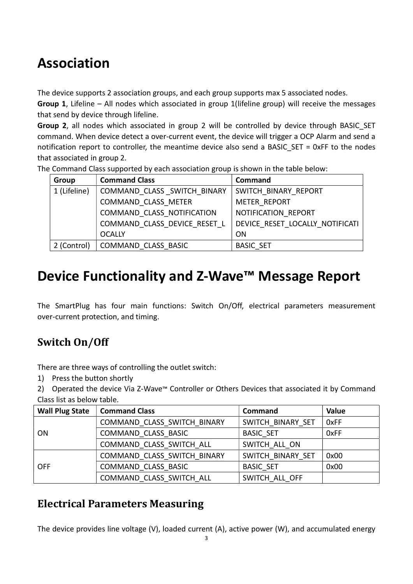# Association

The device supports 2 association groups, and each group supports max 5 associated nodes.

Group 1, Lifeline – All nodes which associated in group 1(lifeline group) will receive the messages that send by device through lifeline.

Group 2, all nodes which associated in group 2 will be controlled by device through BASIC SET command. When device detect a over-current event, the device will trigger a OCP Alarm and send a notification report to controller, the meantime device also send a BASIC SET = 0xFF to the nodes that associated in group 2.

The Command Class supported by each association group is shown in the table below:

| Group        | <b>Command Class</b>         | Command                         |
|--------------|------------------------------|---------------------------------|
| 1 (Lifeline) | COMMAND CLASS SWITCH BINARY  | SWITCH BINARY REPORT            |
|              | COMMAND CLASS METER          | METER REPORT                    |
|              | COMMAND CLASS NOTIFICATION   | NOTIFICATION REPORT             |
|              | COMMAND CLASS DEVICE RESET L | DEVICE RESET LOCALLY NOTIFICATI |
|              | <b>OCALLY</b>                | ΟN                              |
| 2 (Control)  | COMMAND CLASS BASIC          | <b>BASIC SET</b>                |

## Device Functionality and Z-Wave<sup>™</sup> Message Report

The SmartPlug has four main functions: Switch On/Off, electrical parameters measurement over-current protection, and timing.

## Switch On/Off

There are three ways of controlling the outlet switch:

1) Press the button shortly

2) Operated the device Via Z-Wave™ Controller or Others Devices that associated it by Command Class list as below table.

| <b>Wall Plug State</b> | <b>Command Class</b>        | Command           | Value |
|------------------------|-----------------------------|-------------------|-------|
|                        | COMMAND CLASS SWITCH BINARY | SWITCH BINARY SET | 0xFF  |
| <b>ON</b>              | COMMAND CLASS BASIC         | <b>BASIC SET</b>  | 0xFF  |
|                        | COMMAND CLASS SWITCH ALL    | SWITCH ALL ON     |       |
|                        | COMMAND CLASS SWITCH BINARY | SWITCH BINARY SET | 0x00  |
| <b>OFF</b>             | COMMAND CLASS BASIC         | <b>BASIC SET</b>  | 0x00  |
|                        | COMMAND CLASS SWITCH ALL    | SWITCH ALL OFF    |       |

## Electrical Parameters Measuring

The device provides line voltage (V), loaded current (A), active power (W), and accumulated energy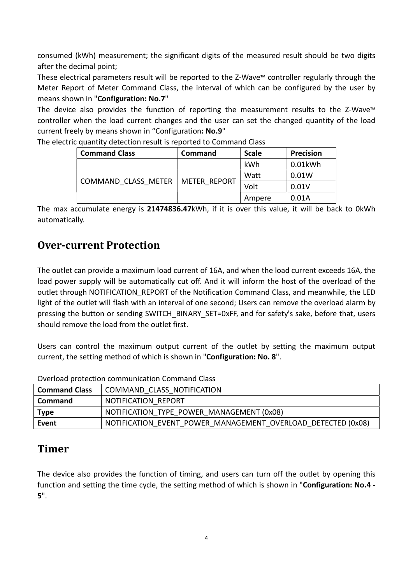consumed (kWh) measurement; the significant digits of the measured result should be two digits after the decimal point;

These electrical parameters result will be reported to the Z-Wave™ controller regularly through the Meter Report of Meter Command Class, the interval of which can be configured by the user by means shown in "Configuration: No.7"

The device also provides the function of reporting the measurement results to the Z-Wave™ controller when the load current changes and the user can set the changed quantity of the load current freely by means shown in "Configuration: No.9"

| <b>Command Class</b> | Command      | <b>Scale</b> | <b>Precision</b> |
|----------------------|--------------|--------------|------------------|
| COMMAND CLASS METER  | METER REPORT | kWh          | 0.01kWh          |
|                      |              | Watt         | 0.01W            |
|                      |              | Volt         | 0.01V            |
|                      |              | Ampere       | 0.01A            |

The electric quantity detection result is reported to Command Class

The max accumulate energy is 21474836.47kWh, if it is over this value, it will be back to 0kWh automatically.

### Over-current Protection

The outlet can provide a maximum load current of 16A, and when the load current exceeds 16A, the load power supply will be automatically cut off. And it will inform the host of the overload of the outlet through NOTIFICATION REPORT of the Notification Command Class, and meanwhile, the LED light of the outlet will flash with an interval of one second; Users can remove the overload alarm by pressing the button or sending SWITCH\_BINARY\_SET=0xFF, and for safety's sake, before that, users should remove the load from the outlet first.

Users can control the maximum output current of the outlet by setting the maximum output current, the setting method of which is shown in "Configuration: No. 8".

| Command Class  | COMMAND CLASS NOTIFICATION                                   |
|----------------|--------------------------------------------------------------|
| <b>Command</b> | NOTIFICATION REPORT                                          |
| Type           | NOTIFICATION TYPE POWER MANAGEMENT (0x08)                    |
| Event          | NOTIFICATION EVENT POWER MANAGEMENT OVERLOAD DETECTED (0x08) |

Overload protection communication Command Class

### Timer

The device also provides the function of timing, and users can turn off the outlet by opening this function and setting the time cycle, the setting method of which is shown in "Configuration: No.4 - 5".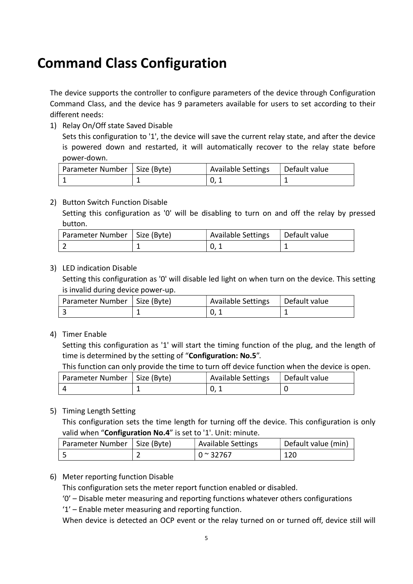## Command Class Configuration

The device supports the controller to configure parameters of the device through Configuration Command Class, and the device has 9 parameters available for users to set according to their different needs:

1) Relay On/Off state Saved Disable

Sets this configuration to '1', the device will save the current relay state, and after the device is powered down and restarted, it will automatically recover to the relay state before power-down.

| Parameter Number   Size (Byte) | <b>Available Settings</b> | Default value |
|--------------------------------|---------------------------|---------------|
|                                |                           |               |

#### 2) Button Switch Function Disable

Setting this configuration as '0' will be disabling to turn on and off the relay by pressed button.

| Parameter Number   Size (Byte) | <b>Available Settings</b> | Default value |
|--------------------------------|---------------------------|---------------|
|                                |                           |               |

#### 3) LED indication Disable

Setting this configuration as '0' will disable led light on when turn on the device. This setting is invalid during device power-up.

| Parameter Number   Size (Byte) | <b>Available Settings</b> | <sup>I</sup> Default value |
|--------------------------------|---------------------------|----------------------------|
|                                |                           |                            |

4) Timer Enable

Setting this configuration as '1' will start the timing function of the plug, and the length of time is determined by the setting of "Configuration: No.5".

This function can only provide the time to turn off device function when the device is open.

| Parameter Number   Size (Byte) | <b>Available Settings</b> | Default value |
|--------------------------------|---------------------------|---------------|
|                                |                           |               |

#### 5) Timing Length Setting

This configuration sets the time length for turning off the device. This configuration is only valid when "Configuration No.4" is set to '1'. Unit: minute.

| Parameter Number   Size (Byte) | <b>Available Settings</b> | Default value (min) |
|--------------------------------|---------------------------|---------------------|
|                                | $0 \approx 32767$         | 120                 |

#### 6) Meter reporting function Disable

This configuration sets the meter report function enabled or disabled.

- '0' Disable meter measuring and reporting functions whatever others configurations
- '1' Enable meter measuring and reporting function.

When device is detected an OCP event or the relay turned on or turned off, device still will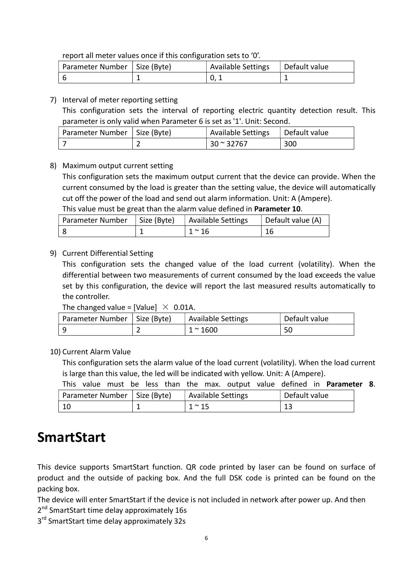report all meter values once if this configuration sets to '0'.

| Parameter Number   Size (Byte) | <b>Available Settings</b> | Default value |
|--------------------------------|---------------------------|---------------|
|                                |                           |               |

#### 7) Interval of meter reporting setting

This configuration sets the interval of reporting electric quantity detection result. This parameter is only valid when Parameter 6 is set as '1'. Unit: Second.

| Parameter Number   Size (Byte) | Available Settings | Default value |
|--------------------------------|--------------------|---------------|
|                                | $30 \approx 32767$ | 300           |

#### 8) Maximum output current setting

This configuration sets the maximum output current that the device can provide. When the current consumed by the load is greater than the setting value, the device will automatically cut off the power of the load and send out alarm information. Unit: A (Ampere).

This value must be great than the alarm value defined in Parameter 10.

| Parameter Number | Size (Byte) | Available Settings | Default value (A) |
|------------------|-------------|--------------------|-------------------|
|                  |             | $1~^\sim 16$       |                   |

#### 9) Current Differential Setting

This configuration sets the changed value of the load current (volatility). When the differential between two measurements of current consumed by the load exceeds the value set by this configuration, the device will report the last measured results automatically to the controller.

#### The changed value = [Value]  $\times$  0.01A.

| Parameter Number   Size (Byte) | <b>Available Settings</b> | Default value |
|--------------------------------|---------------------------|---------------|
|                                | $1^{\sim} 1600$           | 50            |

10) Current Alarm Value

This configuration sets the alarm value of the load current (volatility). When the load current is large than this value, the led will be indicated with yellow. Unit: A (Ampere).

|                                | This value must be less than the max. output value defined in <b>Parameter 8</b> . |               |
|--------------------------------|------------------------------------------------------------------------------------|---------------|
| Parameter Number   Size (Byte) | Available Settings                                                                 | Default value |
| 10                             | $1 \sim 15$                                                                        | 13            |

## **SmartStart**

This device supports SmartStart function. QR code printed by laser can be found on surface of product and the outside of packing box. And the full DSK code is printed can be found on the packing box.

The device will enter SmartStart if the device is not included in network after power up. And then 2<sup>nd</sup> SmartStart time delay approximately 16s

3<sup>rd</sup> SmartStart time delay approximately 32s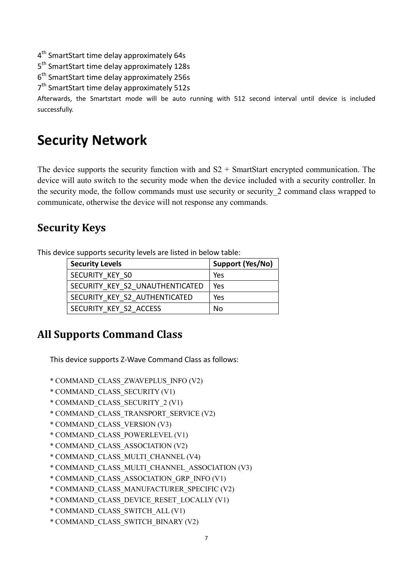4<sup>th</sup> SmartStart time delay approximately 64s

5<sup>th</sup> SmartStart time delay approximately 128s

6<sup>th</sup> SmartStart time delay approximately 256s

7<sup>th</sup> SmartStart time delay approximately 512s

Afterwards, the Smartstart mode will be auto running with 512 second interval until device is included successfully.

## Security Network

The device supports the security function with and  $S2 + S$ martStart encrypted communication. The device will auto switch to the security mode when the device included with a security controller. In the security mode, the follow commands must use security or security\_2 command class wrapped to communicate, otherwise the device will not response any commands.

### Security Keys

This device supports security levels are listed in below table:

| <b>Security Levels</b>          | Support (Yes/No) |
|---------------------------------|------------------|
| SECURITY KEY SO                 | Yes              |
| SECURITY KEY S2 UNAUTHENTICATED | Yes              |
| SECURITY KEY S2 AUTHENTICATED   | Yes              |
| SECURITY KEY S2 ACCESS          | N٥               |

## All Supports Command Class

This device supports Z-Wave Command Class as follows:

- \* COMMAND\_CLASS\_ZWAVEPLUS\_INFO (V2)
- \* COMMAND\_CLASS\_SECURITY (V1)
- \* COMMAND\_CLASS\_SECURITY\_2 (V1)
- \* COMMAND\_CLASS\_TRANSPORT\_SERVICE (V2)
- \* COMMAND\_CLASS\_VERSION (V3)
- \* COMMAND\_CLASS\_POWERLEVEL (V1)
- \* COMMAND\_CLASS\_ASSOCIATION (V2)
- \* COMMAND\_CLASS\_MULTI\_CHANNEL (V4)
- \* COMMAND\_CLASS\_MULTI\_CHANNEL\_ASSOCIATION (V3)
- \* COMMAND\_CLASS\_ASSOCIATION\_GRP\_INFO (V1)
- \* COMMAND\_CLASS\_MANUFACTURER\_SPECIFIC (V2)
- \* COMMAND\_CLASS\_DEVICE\_RESET\_LOCALLY (V1)
- \* COMMAND\_CLASS\_SWITCH\_ALL (V1)
- \* COMMAND\_CLASS\_SWITCH\_BINARY (V2)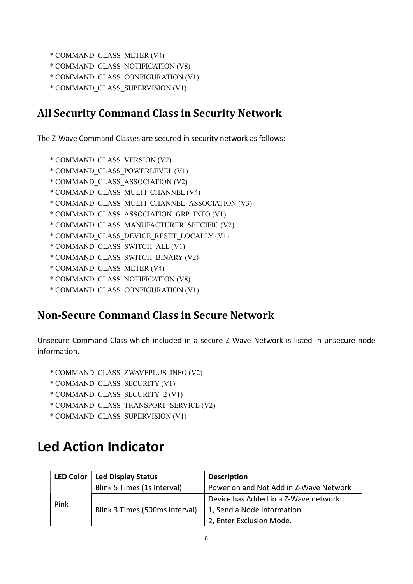- \* COMMAND\_CLASS\_METER (V4)
- \* COMMAND\_CLASS\_NOTIFICATION (V8)
- \* COMMAND\_CLASS\_CONFIGURATION (V1)
- \* COMMAND\_CLASS\_SUPERVISION (V1)

### All Security Command Class in Security Network

The Z-Wave Command Classes are secured in security network as follows:

- \* COMMAND\_CLASS\_VERSION (V2)
- \* COMMAND\_CLASS\_POWERLEVEL (V1)
- \* COMMAND\_CLASS\_ASSOCIATION (V2)
- \* COMMAND\_CLASS\_MULTI\_CHANNEL (V4)
- \* COMMAND\_CLASS\_MULTI\_CHANNEL\_ASSOCIATION (V3)
- \* COMMAND\_CLASS\_ASSOCIATION\_GRP\_INFO (V1)
- \* COMMAND\_CLASS\_MANUFACTURER\_SPECIFIC (V2)
- \* COMMAND\_CLASS\_DEVICE\_RESET\_LOCALLY (V1)
- \* COMMAND\_CLASS\_SWITCH\_ALL (V1)
- \* COMMAND\_CLASS\_SWITCH\_BINARY (V2)
- \* COMMAND\_CLASS\_METER (V4)
- \* COMMAND\_CLASS\_NOTIFICATION (V8)
- \* COMMAND\_CLASS\_CONFIGURATION (V1)

### Non-Secure Command Class in Secure Network

Unsecure Command Class which included in a secure Z-Wave Network is listed in unsecure node information.

- \* COMMAND\_CLASS\_ZWAVEPLUS\_INFO (V2)
- \* COMMAND\_CLASS\_SECURITY (V1)
- \* COMMAND\_CLASS\_SECURITY\_2 (V1)
- \* COMMAND\_CLASS\_TRANSPORT\_SERVICE (V2)
- \* COMMAND\_CLASS\_SUPERVISION (V1)

## Led Action Indicator

| <b>LED Color</b> | <b>Led Display Status</b>      | <b>Description</b>                     |  |
|------------------|--------------------------------|----------------------------------------|--|
| Pink             | Blink 5 Times (1s Interval)    | Power on and Not Add in Z-Wave Network |  |
|                  | Blink 3 Times (500ms Interval) | Device has Added in a Z-Wave network:  |  |
|                  |                                | 1, Send a Node Information.            |  |
|                  |                                | 2, Enter Exclusion Mode.               |  |